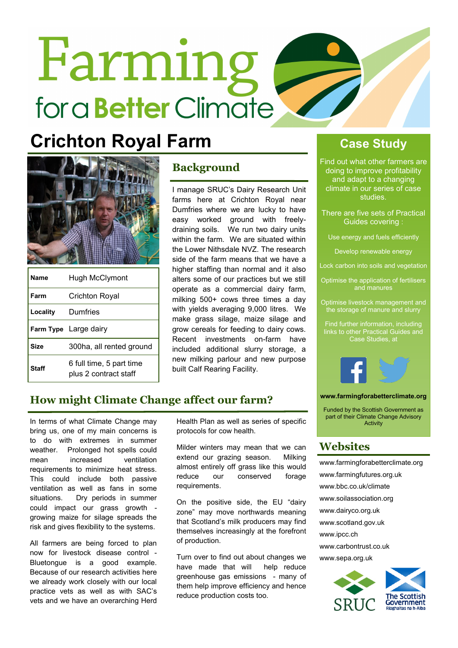# **Farming** for a **Better** Climate

## **Crichton Royal Farm Case Study**



| <b>Name</b>  | Hugh McClymont                                    |
|--------------|---------------------------------------------------|
| Farm         | Crichton Royal                                    |
| Locality     | Dumfries                                          |
|              | Farm Type Large dairy                             |
| Size         | 300ha, all rented ground                          |
| <b>Staff</b> | 6 full time, 5 part time<br>plus 2 contract staff |

### **Background**

I manage SRUC's Dairy Research Unit farms here at Crichton Royal near Dumfries where we are lucky to have easy worked ground with freelydraining soils. We run two dairy units within the farm. We are situated within the Lower Nithsdale NVZ. The research side of the farm means that we have a higher staffing than normal and it also alters some of our practices but we still operate as a commercial dairy farm, milking 500+ cows three times a day with vields averaging 9,000 litres. We make grass silage, maize silage and grow cereals for feeding to dairy cows. Recent investments on-farm have included additional slurry storage, a new milking parlour and new purpose built Calf Rearing Facility.

Find out what other farmers are doing to improve profitability and adapt to a changing climate in our series of case studies.

There are five sets of Practical Guides covering :

Use energy and fuels efficiently

Develop renewable energy

Lock carbon into soils and vegetation

Optimise the application of fertilisers and manures

Optimise livestock management and the storage of manure and slurry

Find further information, including links to other Practical Guides and Case Studies, at



### **www.farmingforabetterclimate.org**

Funded by the Scottish Government as part of their Climate Change Advisory Activity

### **Websites**

www.farmingforabetterclimate.org www.farmingfutures.org.uk www.bbc.co.uk/climate www.soilassociation.org www.dairyco.org.uk www.scotland.gov.uk www.ipcc.ch www.carbontrust.co.uk www.sepa.org.uk



### **How might Climate Change affect our farm?**

In terms of what Climate Change may bring us, one of my main concerns is to do with extremes in summer weather. Prolonged hot spells could mean increased ventilation requirements to minimize heat stress. This could include both passive ventilation as well as fans in some situations. Dry periods in summer could impact our grass growth growing maize for silage spreads the risk and gives flexibility to the systems.

All farmers are being forced to plan now for livestock disease control - Bluetongue is a good example. Because of our research activities here we already work closely with our local practice vets as well as with SAC's vets and we have an overarching Herd

Health Plan as well as series of specific protocols for cow health.

Milder winters may mean that we can extend our grazing season. Milking almost entirely off grass like this would reduce our conserved forage requirements.

On the positive side, the EU "dairy zone" may move northwards meaning that Scotland's milk producers may find themselves increasingly at the forefront of production.

Turn over to find out about changes we have made that will help reduce greenhouse gas emissions - many of them help improve efficiency and hence reduce production costs too.